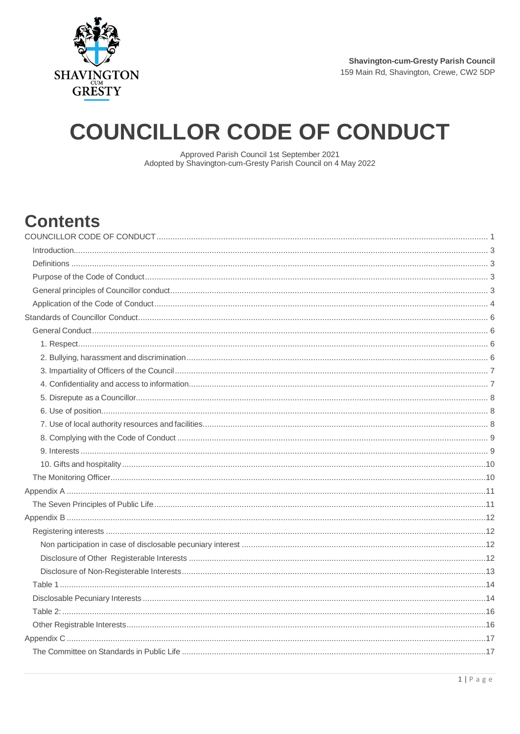

# <span id="page-0-0"></span>**COUNCILLOR CODE OF CONDUCT**

Approved Parish Council 1st September 2021<br>Adopted by Shavington-cum-Gresty Parish Council on 4 May 2022

## **Contents**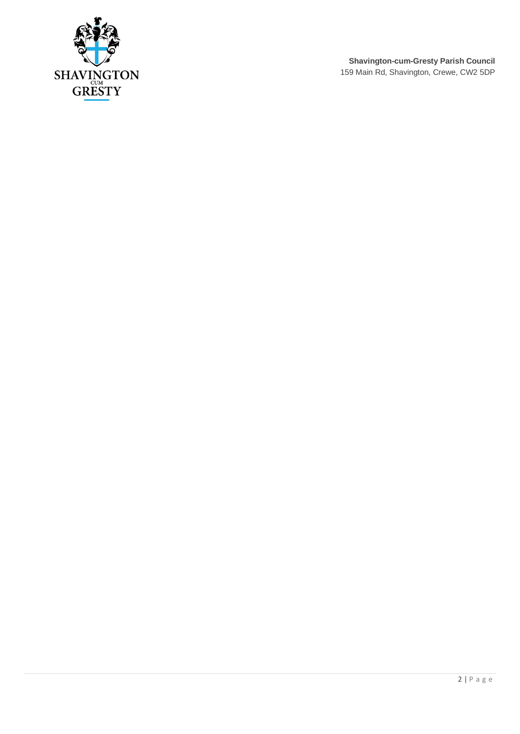

**Shavington-cum-Gresty Parish Council**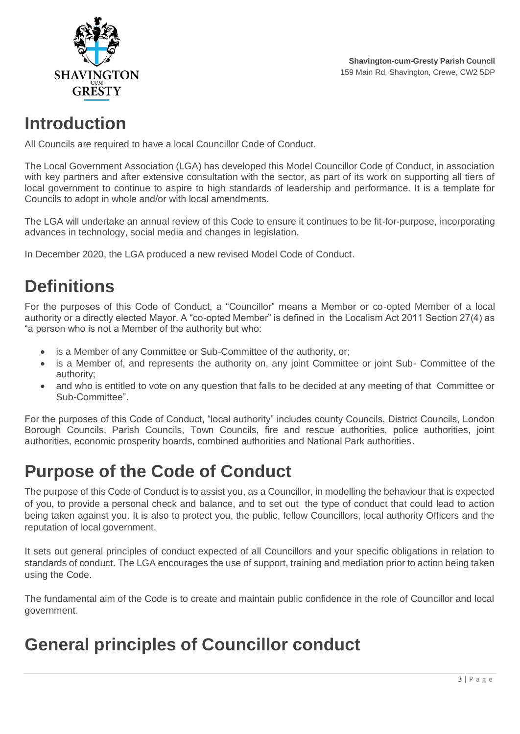

### <span id="page-2-0"></span>**Introduction**

All Councils are required to have a local Councillor Code of Conduct.

The Local Government Association (LGA) has developed this Model Councillor Code of Conduct, in association with key partners and after extensive consultation with the sector, as part of its work on supporting all tiers of local government to continue to aspire to high standards of leadership and performance. It is a template for Councils to adopt in whole and/or with local amendments.

The LGA will undertake an annual review of this Code to ensure it continues to be fit-for-purpose, incorporating advances in technology, social media and changes in legislation.

In December 2020, the LGA produced a new revised Model Code of Conduct.

# <span id="page-2-1"></span>**Definitions**

For the purposes of this Code of Conduct, a "Councillor" means a Member or co-opted Member of a local authority or a directly elected Mayor. A "co-opted Member" is defined in the Localism Act 2011 Section 27(4) as "a person who is not a Member of the authority but who:

- is a Member of any Committee or Sub-Committee of the authority, or;
- is a Member of, and represents the authority on, any joint Committee or joint Sub- Committee of the authority;
- and who is entitled to vote on any question that falls to be decided at any meeting of that Committee or Sub-Committee".

For the purposes of this Code of Conduct, "local authority" includes county Councils, District Councils, London Borough Councils, Parish Councils, Town Councils, fire and rescue authorities, police authorities, joint authorities, economic prosperity boards, combined authorities and National Park authorities.

# <span id="page-2-2"></span>**Purpose of the Code of Conduct**

The purpose of this Code of Conduct is to assist you, as a Councillor, in modelling the behaviour that is expected of you, to provide a personal check and balance, and to set out the type of conduct that could lead to action being taken against you. It is also to protect you, the public, fellow Councillors, local authority Officers and the reputation of local government.

It sets out general principles of conduct expected of all Councillors and your specific obligations in relation to standards of conduct. The LGA encourages the use of support, training and mediation prior to action being taken using the Code.

The fundamental aim of the Code is to create and maintain public confidence in the role of Councillor and local government.

## <span id="page-2-3"></span>**General principles of Councillor conduct**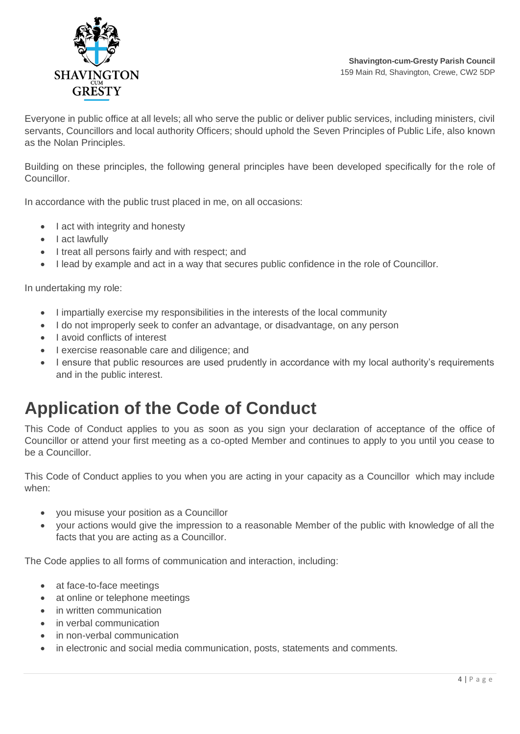

Everyone in public office at all levels; all who serve the public or deliver public services, including ministers, civil servants, Councillors and local authority Officers; should uphold the [Seven Principles of Public Life,](https://www.gov.uk/government/publications/the-7-principles-of-public-life/the-7-principles-of-public-life--2) also known as the Nolan Principles.

Building on these principles, the following general principles have been developed specifically for the role of Councillor.

In accordance with the public trust placed in me, on all occasions:

- I act with integrity and honesty
- I act lawfully
- I treat all persons fairly and with respect; and
- I lead by example and act in a way that secures public confidence in the role of Councillor.

In undertaking my role:

- I impartially exercise my responsibilities in the interests of the local community
- I do not improperly seek to confer an advantage, or disadvantage, on any person
- I avoid conflicts of interest
- I exercise reasonable care and diligence; and
- I ensure that public resources are used prudently in accordance with my local authority's requirements and in the public interest.

# <span id="page-3-0"></span>**Application of the Code of Conduct**

This Code of Conduct applies to you as soon as you sign your declaration of acceptance of the office of Councillor or attend your first meeting as a co-opted Member and continues to apply to you until you cease to be a Councillor.

This Code of Conduct applies to you when you are acting in your capacity as a Councillor which may include when:

- you misuse your position as a Councillor
- your actions would give the impression to a reasonable Member of the public with knowledge of all the facts that you are acting as a Councillor.

The Code applies to all forms of communication and interaction, including:

- at face-to-face meetings
- at online or telephone meetings
- in written communication
- in verbal communication
- in non-verbal communication
- in electronic and social media communication, posts, statements and comments.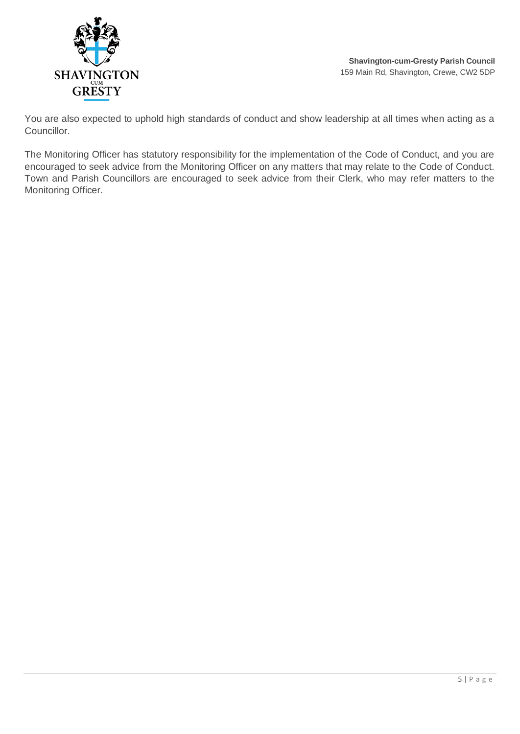

You are also expected to uphold high standards of conduct and show leadership at all times when acting as a Councillor.

The Monitoring Officer has statutory responsibility for the implementation of the Code of Conduct, and you are encouraged to seek advice from the Monitoring Officer on any matters that may relate to the Code of Conduct. Town and Parish Councillors are encouraged to seek advice from their Clerk, who may refer matters to the Monitoring Officer.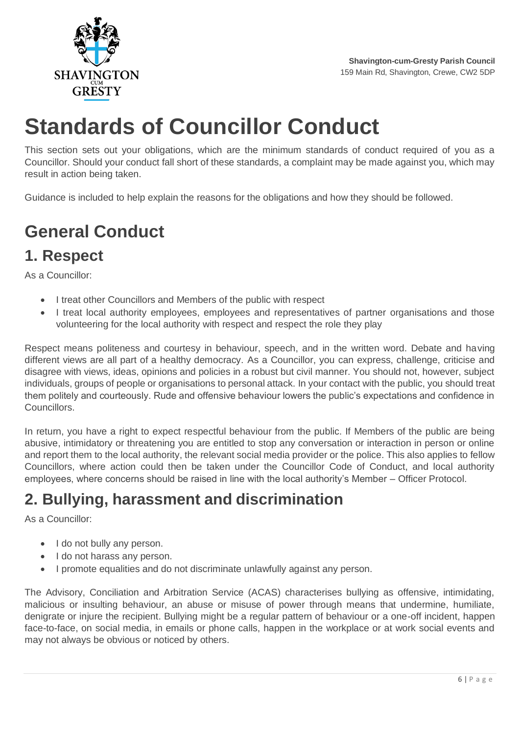

# <span id="page-5-0"></span>**Standards of Councillor Conduct**

This section sets out your obligations, which are the minimum standards of conduct required of you as a Councillor. Should your conduct fall short of these standards, a complaint may be made against you, which may result in action being taken.

Guidance is included to help explain the reasons for the obligations and how they should be followed.

# <span id="page-5-1"></span>**General Conduct**

## <span id="page-5-2"></span>**1. Respect**

As a Councillor:

- I treat other Councillors and Members of the public with respect
- I treat local authority employees, employees and representatives of partner organisations and those volunteering for the local authority with respect and respect the role they play

Respect means politeness and courtesy in behaviour, speech, and in the written word. Debate and having different views are all part of a healthy democracy. As a Councillor, you can express, challenge, criticise and disagree with views, ideas, opinions and policies in a robust but civil manner. You should not, however, subject individuals, groups of people or organisations to personal attack. In your contact with the public, you should treat them politely and courteously. Rude and offensive behaviour lowers the public's expectations and confidence in Councillors.

In return, you have a right to expect respectful behaviour from the public. If Members of the public are being abusive, intimidatory or threatening you are entitled to stop any conversation or interaction in person or online and report them to the local authority, the relevant social media provider or the police. This also applies to fellow Councillors, where action could then be taken under the Councillor Code of Conduct, and local authority employees, where concerns should be raised in line with the local authority's Member – Officer Protocol.

## <span id="page-5-3"></span>**2. Bullying, harassment and discrimination**

As a Councillor:

- I do not bully any person.
- I do not harass any person.
- I promote equalities and do not discriminate unlawfully against any person.

The Advisory, Conciliation and Arbitration Service (ACAS) characterises bullying as offensive, intimidating, malicious or insulting behaviour, an abuse or misuse of power through means that undermine, humiliate, denigrate or injure the recipient. Bullying might be a regular pattern of behaviour or a one-off incident, happen face-to-face, on social media, in emails or phone calls, happen in the workplace or at work social events and may not always be obvious or noticed by others.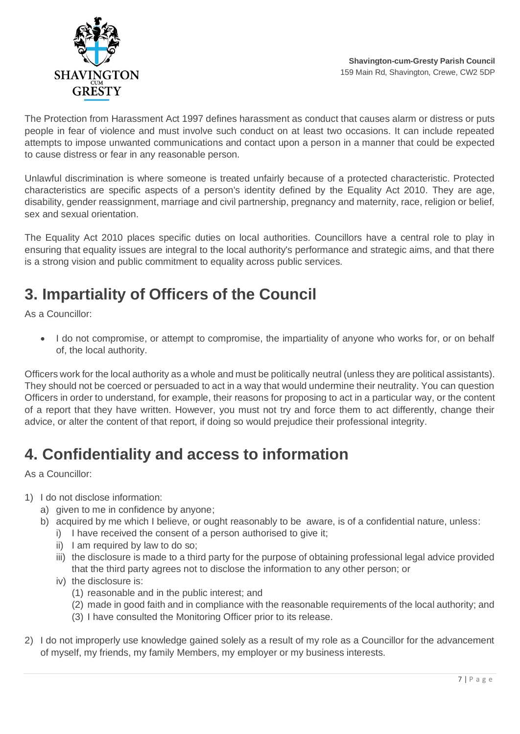

The Protection from Harassment Act 1997 defines harassment as conduct that causes alarm or distress or puts people in fear of violence and must involve such conduct on at least two occasions. It can include repeated attempts to impose unwanted communications and contact upon a person in a manner that could be expected to cause distress or fear in any reasonable person.

Unlawful discrimination is where someone is treated unfairly because of a protected characteristic. Protected characteristics are specific aspects of a person's identity defined by the Equality Act 2010. They are age, disability, gender reassignment, marriage and civil partnership, pregnancy and maternity, race, religion or belief, sex and sexual orientation.

The Equality Act 2010 places specific duties on local authorities. Councillors have a central role to play in ensuring that equality issues are integral to the local authority's performance and strategic aims, and that there is a strong vision and public commitment to equality across public services.

# <span id="page-6-0"></span>**3. Impartiality of Officers of the Council**

As a Councillor:

• I do not compromise, or attempt to compromise, the impartiality of anyone who works for, or on behalf of, the local authority.

Officers work for the local authority as a whole and must be politically neutral (unless they are political assistants). They should not be coerced or persuaded to act in a way that would undermine their neutrality. You can question Officers in order to understand, for example, their reasons for proposing to act in a particular way, or the content of a report that they have written. However, you must not try and force them to act differently, change their advice, or alter the content of that report, if doing so would prejudice their professional integrity.

## <span id="page-6-1"></span>**4. Confidentiality and access to information**

As a Councillor:

- 1) I do not disclose information:
	- a) given to me in confidence by anyone;
	- b) acquired by me which I believe, or ought reasonably to be aware, is of a confidential nature, unless:
		- i) I have received the consent of a person authorised to give it;
		- ii) I am required by law to do so;
		- iii) the disclosure is made to a third party for the purpose of obtaining professional legal advice provided that the third party agrees not to disclose the information to any other person; or
		- iv) the disclosure is:
			- (1) reasonable and in the public interest; and
			- (2) made in good faith and in compliance with the reasonable requirements of the local authority; and
			- (3) I have consulted the Monitoring Officer prior to its release.
- 2) I do not improperly use knowledge gained solely as a result of my role as a Councillor for the advancement of myself, my friends, my family Members, my employer or my business interests.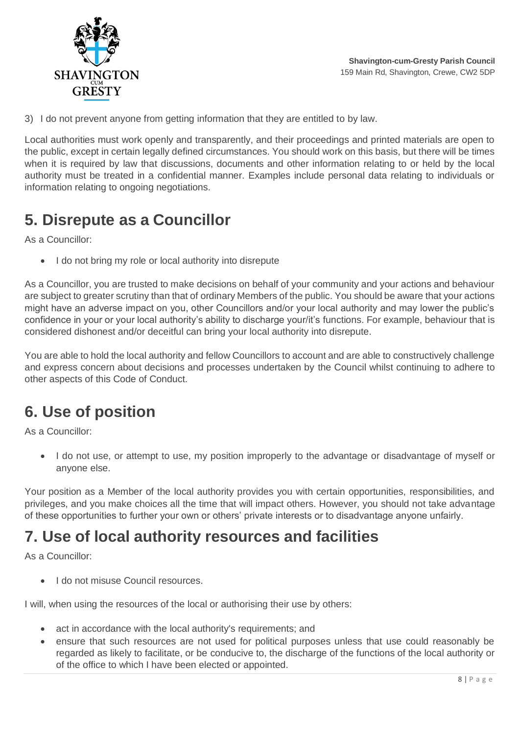

3) I do not prevent anyone from getting information that they are entitled to by law.

Local authorities must work openly and transparently, and their proceedings and printed materials are open to the public, except in certain legally defined circumstances. You should work on this basis, but there will be times when it is required by law that discussions, documents and other information relating to or held by the local authority must be treated in a confidential manner. Examples include personal data relating to individuals or information relating to ongoing negotiations.

### <span id="page-7-0"></span>**5. Disrepute as a Councillor**

As a Councillor:

• I do not bring my role or local authority into disrepute

As a Councillor, you are trusted to make decisions on behalf of your community and your actions and behaviour are subject to greater scrutiny than that of ordinary Members of the public. You should be aware that your actions might have an adverse impact on you, other Councillors and/or your local authority and may lower the public's confidence in your or your local authority's ability to discharge your/it's functions. For example, behaviour that is considered dishonest and/or deceitful can bring your local authority into disrepute.

You are able to hold the local authority and fellow Councillors to account and are able to constructively challenge and express concern about decisions and processes undertaken by the Council whilst continuing to adhere to other aspects of this Code of Conduct.

## <span id="page-7-1"></span>**6. Use of position**

As a Councillor:

• I do not use, or attempt to use, my position improperly to the advantage or disadvantage of myself or anyone else.

Your position as a Member of the local authority provides you with certain opportunities, responsibilities, and privileges, and you make choices all the time that will impact others. However, you should not take advantage of these opportunities to further your own or others' private interests or to disadvantage anyone unfairly.

#### <span id="page-7-2"></span>**7. Use of local authority resources and facilities**

As a Councillor:

• I do not misuse Council resources.

I will, when using the resources of the local or authorising their use by others:

- act in accordance with the local authority's requirements; and
- ensure that such resources are not used for political purposes unless that use could reasonably be regarded as likely to facilitate, or be conducive to, the discharge of the functions of the local authority or of the office to which I have been elected or appointed.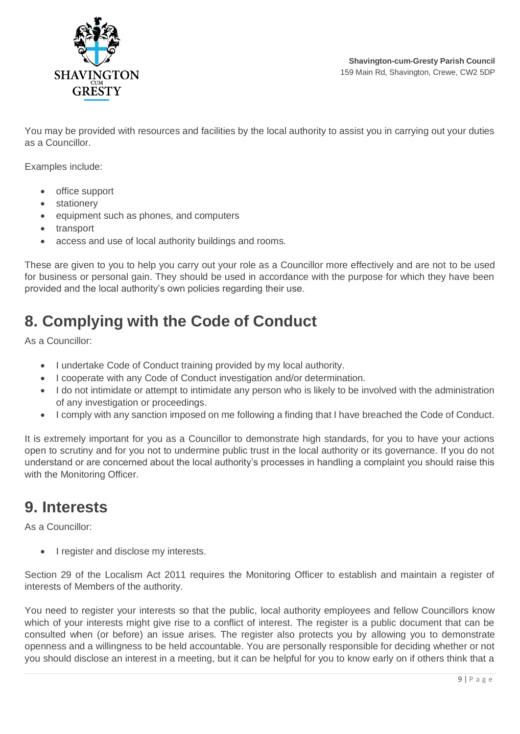

You may be provided with resources and facilities by the local authority to assist you in carrying out your duties as a Councillor.

Examples include:

- office support
- **stationery**
- equipment such as phones, and computers
- transport
- access and use of local authority buildings and rooms.

These are given to you to help you carry out your role as a Councillor more effectively and are not to be used for business or personal gain. They should be used in accordance with the purpose for which they have been provided and the local authority's own policies regarding their use.

## <span id="page-8-0"></span>**8. Complying with the Code of Conduct**

As a Councillor:

- I undertake Code of Conduct training provided by my local authority.
- I cooperate with any Code of Conduct investigation and/or determination.
- I do not intimidate or attempt to intimidate any person who is likely to be involved with the administration of any investigation or proceedings.
- I comply with any sanction imposed on me following a finding that I have breached the Code of Conduct.

It is extremely important for you as a Councillor to demonstrate high standards, for you to have your actions open to scrutiny and for you not to undermine public trust in the local authority or its governance. If you do not understand or are concerned about the local authority's processes in handling a complaint you should raise this with the Monitoring Officer.

#### <span id="page-8-1"></span>**9. Interests**

As a Councillor:

I register and disclose my interests.

Section 29 of the Localism Act 2011 requires the Monitoring Officer to establish and maintain a register of interests of Members of the authority.

You need to register your interests so that the public, local authority employees and fellow Councillors know which of your interests might give rise to a conflict of interest. The register is a public document that can be consulted when (or before) an issue arises. The register also protects you by allowing you to demonstrate openness and a willingness to be held accountable. You are personally responsible for deciding whether or not you should disclose an interest in a meeting, but it can be helpful for you to know early on if others think that a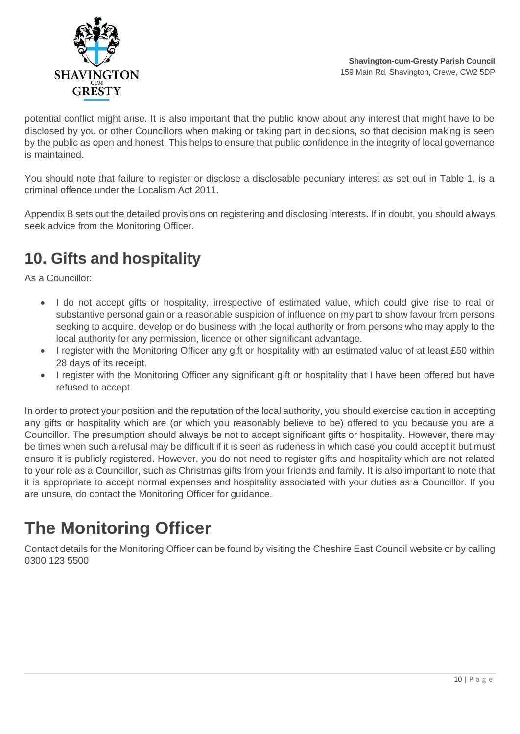

potential conflict might arise. It is also important that the public know about any interest that might have to be disclosed by you or other Councillors when making or taking part in decisions, so that decision making is seen by the public as open and honest. This helps to ensure that public confidence in the integrity of local governance is maintained.

You should note that failure to register or disclose a disclosable pecuniary interest as set out in Table 1, is a criminal offence under the Localism Act 2011.

Appendix B sets out the detailed provisions on registering and disclosing interests. If in doubt, you should always seek advice from the Monitoring Officer.

## <span id="page-9-0"></span>**10. Gifts and hospitality**

As a Councillor:

- I do not accept gifts or hospitality, irrespective of estimated value, which could give rise to real or substantive personal gain or a reasonable suspicion of influence on my part to show favour from persons seeking to acquire, develop or do business with the local authority or from persons who may apply to the local authority for any permission, licence or other significant advantage.
- I register with the Monitoring Officer any gift or hospitality with an estimated value of at least £50 within 28 days of its receipt.
- I register with the Monitoring Officer any significant gift or hospitality that I have been offered but have refused to accept.

In order to protect your position and the reputation of the local authority, you should exercise caution in accepting any gifts or hospitality which are (or which you reasonably believe to be) offered to you because you are a Councillor. The presumption should always be not to accept significant gifts or hospitality. However, there may be times when such a refusal may be difficult if it is seen as rudeness in which case you could accept it but must ensure it is publicly registered. However, you do not need to register gifts and hospitality which are not related to your role as a Councillor, such as Christmas gifts from your friends and family. It is also important to note that it is appropriate to accept normal expenses and hospitality associated with your duties as a Councillor. If you are unsure, do contact the Monitoring Officer for guidance.

# <span id="page-9-1"></span>**The Monitoring Officer**

Contact details for the Monitoring Officer can be found by visiting the Cheshire East Council [website](http://www.cheshireeast.gov.uk/) or by calling 0300 123 5500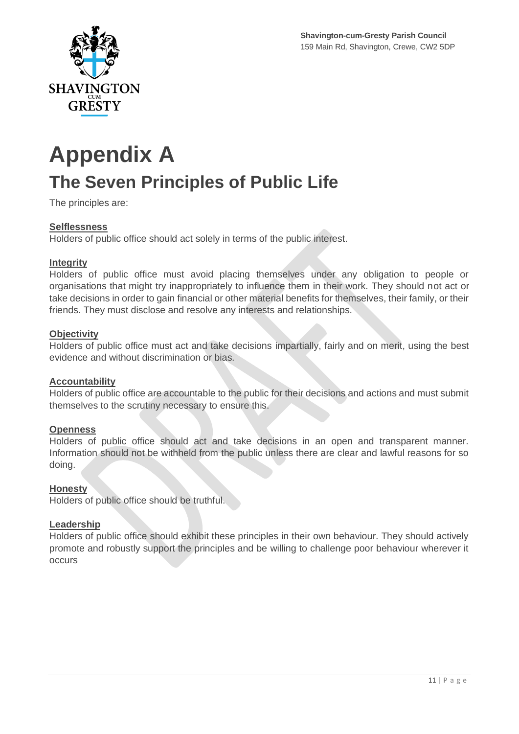

# <span id="page-10-0"></span>**Appendix A**

# <span id="page-10-1"></span>**The Seven Principles of Public Life**

The principles are:

#### **Selflessness**

Holders of public office should act solely in terms of the public interest.

#### **Integrity**

Holders of public office must avoid placing themselves under any obligation to people or organisations that might try inappropriately to influence them in their work. They should not act or take decisions in order to gain financial or other material benefits for themselves, their family, or their friends. They must disclose and resolve any interests and relationships.

#### **Objectivity**

Holders of public office must act and take decisions impartially, fairly and on merit, using the best evidence and without discrimination or bias.

#### **Accountability**

Holders of public office are accountable to the public for their decisions and actions and must submit themselves to the scrutiny necessary to ensure this.

#### **Openness**

Holders of public office should act and take decisions in an open and transparent manner. Information should not be withheld from the public unless there are clear and lawful reasons for so doing.

#### **Honesty**

Holders of public office should be truthful.

#### **Leadership**

Holders of public office should exhibit these principles in their own behaviour. They should actively promote and robustly support the principles and be willing to challenge poor behaviour wherever it occurs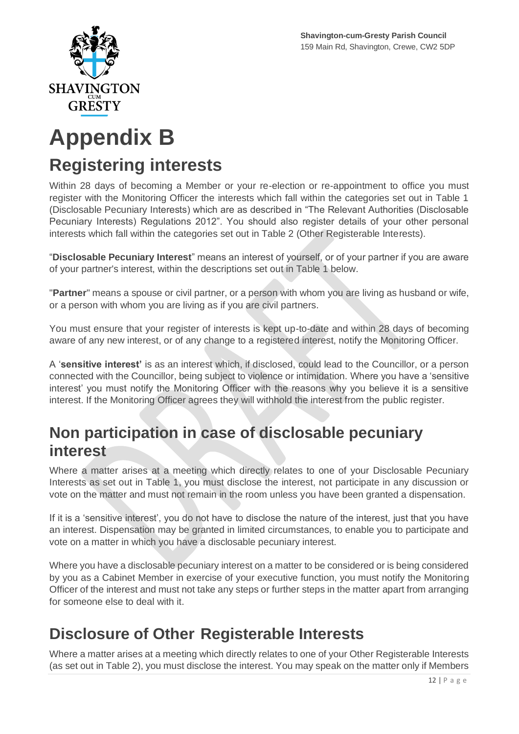

# <span id="page-11-0"></span>**Appendix B**

## <span id="page-11-1"></span>**Registering interests**

Within 28 days of becoming a Member or your re-election or re-appointment to office you must register with the Monitoring Officer the interests which fall within the categories set out in Table 1 (Disclosable Pecuniary Interests) which are as described in "The Relevant Authorities (Disclosable Pecuniary Interests) Regulations 2012". You should also register details of your other personal interests which fall within the categories set out in Table 2 (Other Registerable Interests).

"**Disclosable Pecuniary Interest**" means an interest of yourself, or of your partner if you are aware of your partner's interest, within the descriptions set out in Table 1 below.

"**Partner**" means a spouse or civil partner, or a person with whom you are living as husband or wife, or a person with whom you are living as if you are civil partners.

You must ensure that your register of interests is kept up-to-date and within 28 days of becoming aware of any new interest, or of any change to a registered interest, notify the Monitoring Officer.

A '**sensitive interest'** is as an interest which, if disclosed, could lead to the Councillor, or a person connected with the Councillor, being subject to violence or intimidation. Where you have a 'sensitive interest' you must notify the Monitoring Officer with the reasons why you believe it is a sensitive interest. If the Monitoring Officer agrees they will withhold the interest from the public register.

#### <span id="page-11-2"></span>**Non participation in case of disclosable pecuniary interest**

Where a matter arises at a meeting which directly relates to one of your Disclosable Pecuniary Interests as set out in Table 1, you must disclose the interest, not participate in any discussion or vote on the matter and must not remain in the room unless you have been granted a dispensation.

If it is a 'sensitive interest', you do not have to disclose the nature of the interest, just that you have an interest. Dispensation may be granted in limited circumstances, to enable you to participate and vote on a matter in which you have a disclosable pecuniary interest.

Where you have a disclosable pecuniary interest on a matter to be considered or is being considered by you as a Cabinet Member in exercise of your executive function, you must notify the Monitoring Officer of the interest and must not take any steps or further steps in the matter apart from arranging for someone else to deal with it.

### <span id="page-11-3"></span>**Disclosure of Other Registerable Interests**

Where a matter arises at a meeting which directly relates to one of your Other Registerable Interests (as set out in Table 2), you must disclose the interest. You may speak on the matter only if Members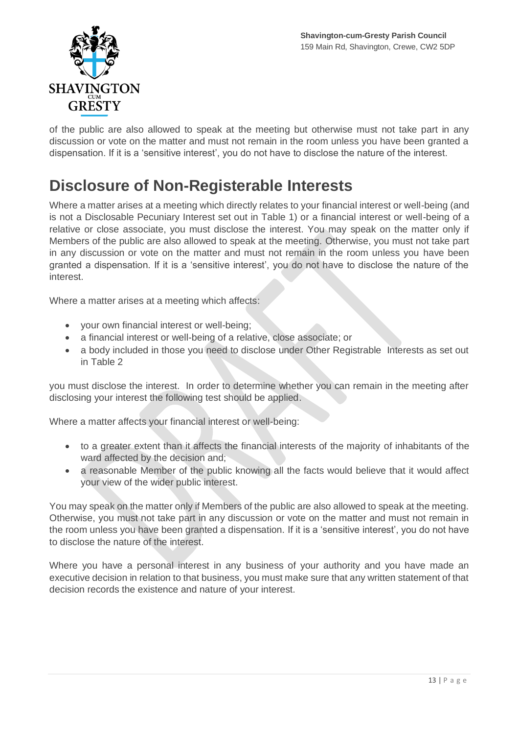

of the public are also allowed to speak at the meeting but otherwise must not take part in any discussion or vote on the matter and must not remain in the room unless you have been granted a dispensation. If it is a 'sensitive interest', you do not have to disclose the nature of the interest.

### <span id="page-12-0"></span>**Disclosure of Non-Registerable Interests**

Where a matter arises at a meeting which directly relates to your financial interest or well-being (and is not a Disclosable Pecuniary Interest set out in Table 1) or a financial interest or well-being of a relative or close associate, you must disclose the interest. You may speak on the matter only if Members of the public are also allowed to speak at the meeting. Otherwise, you must not take part in any discussion or vote on the matter and must not remain in the room unless you have been granted a dispensation. If it is a 'sensitive interest', you do not have to disclose the nature of the interest.

Where a matter arises at a meeting which affects:

- your own financial interest or well-being;
- a financial interest or well-being of a relative, close associate; or
- a body included in those you need to disclose under Other Registrable Interests as set out in Table 2

you must disclose the interest. In order to determine whether you can remain in the meeting after disclosing your interest the following test should be applied.

Where a matter affects your financial interest or well-being:

- to a greater extent than it affects the financial interests of the majority of inhabitants of the ward affected by the decision and;
- a reasonable Member of the public knowing all the facts would believe that it would affect your view of the wider public interest.

You may speak on the matter only if Members of the public are also allowed to speak at the meeting. Otherwise, you must not take part in any discussion or vote on the matter and must not remain in the room unless you have been granted a dispensation. If it is a 'sensitive interest', you do not have to disclose the nature of the interest.

Where you have a personal interest in any business of your authority and you have made an executive decision in relation to that business, you must make sure that any written statement of that decision records the existence and nature of your interest.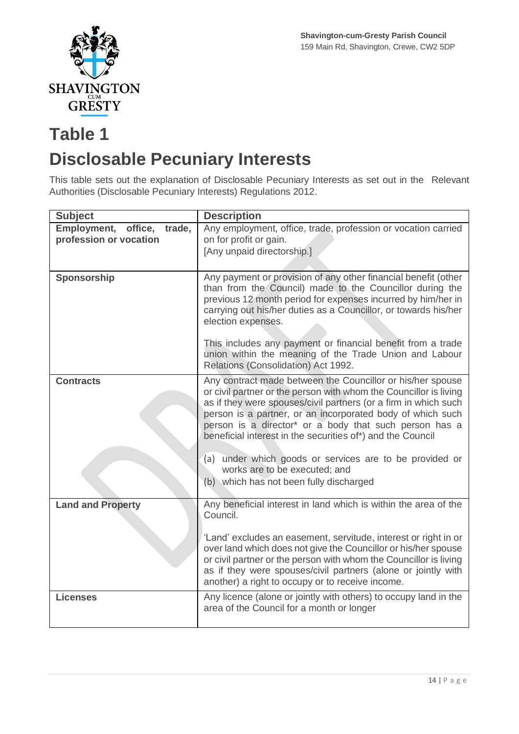

# <span id="page-13-0"></span>**Table 1**

# <span id="page-13-1"></span>**Disclosable Pecuniary Interests**

This table sets out the explanation of Disclosable Pecuniary Interests as set out in the [Relevant](https://www.legislation.gov.uk/uksi/2012/1464/made)  [Authorities \(Disclosable Pecuniary Interests\) Regulations 2012.](https://www.legislation.gov.uk/uksi/2012/1464/made)

| <b>Subject</b>                                                    | <b>Description</b>                                                                                                                                                                                                                                                                                                                                                                                                                                                                                                              |
|-------------------------------------------------------------------|---------------------------------------------------------------------------------------------------------------------------------------------------------------------------------------------------------------------------------------------------------------------------------------------------------------------------------------------------------------------------------------------------------------------------------------------------------------------------------------------------------------------------------|
| <b>Employment,</b><br>office,<br>trade,<br>profession or vocation | Any employment, office, trade, profession or vocation carried<br>on for profit or gain.<br>[Any unpaid directorship.]                                                                                                                                                                                                                                                                                                                                                                                                           |
| Sponsorship                                                       | Any payment or provision of any other financial benefit (other<br>than from the Council) made to the Councillor during the<br>previous 12 month period for expenses incurred by him/her in<br>carrying out his/her duties as a Councillor, or towards his/her<br>election expenses.<br>This includes any payment or financial benefit from a trade<br>union within the meaning of the Trade Union and Labour<br>Relations (Consolidation) Act 1992.                                                                             |
| <b>Contracts</b>                                                  | Any contract made between the Councillor or his/her spouse<br>or civil partner or the person with whom the Councillor is living<br>as if they were spouses/civil partners (or a firm in which such<br>person is a partner, or an incorporated body of which such<br>person is a director* or a body that such person has a<br>beneficial interest in the securities of*) and the Council<br>(a) under which goods or services are to be provided or<br>works are to be executed; and<br>(b) which has not been fully discharged |
| <b>Land and Property</b>                                          | Any beneficial interest in land which is within the area of the<br>Council.<br>'Land' excludes an easement, servitude, interest or right in or<br>over land which does not give the Councillor or his/her spouse<br>or civil partner or the person with whom the Councillor is living<br>as if they were spouses/civil partners (alone or jointly with<br>another) a right to occupy or to receive income.                                                                                                                      |
| <b>Licenses</b>                                                   | Any licence (alone or jointly with others) to occupy land in the<br>area of the Council for a month or longer                                                                                                                                                                                                                                                                                                                                                                                                                   |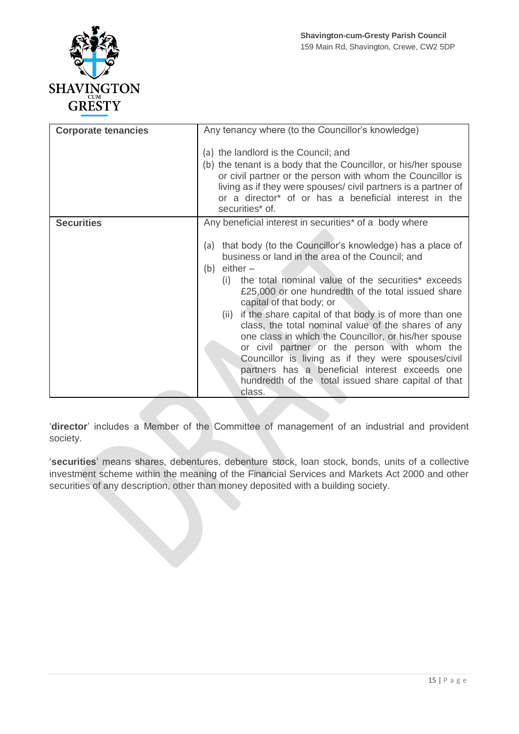

| <b>Corporate tenancies</b> | Any tenancy where (to the Councillor's knowledge)                                                                                                                                                                                                                                                                                                                                                                                                                                                                                                                                                                                                                                                                                                          |  |
|----------------------------|------------------------------------------------------------------------------------------------------------------------------------------------------------------------------------------------------------------------------------------------------------------------------------------------------------------------------------------------------------------------------------------------------------------------------------------------------------------------------------------------------------------------------------------------------------------------------------------------------------------------------------------------------------------------------------------------------------------------------------------------------------|--|
|                            | (a) the landlord is the Council; and<br>(b) the tenant is a body that the Councillor, or his/her spouse<br>or civil partner or the person with whom the Councillor is<br>living as if they were spouses/ civil partners is a partner of<br>or a director <sup>*</sup> of or has a beneficial interest in the<br>securities* of.                                                                                                                                                                                                                                                                                                                                                                                                                            |  |
| <b>Securities</b>          | Any beneficial interest in securities* of a body where<br>that body (to the Councillor's knowledge) has a place of<br>(a)<br>business or land in the area of the Council; and<br>$either -$<br>(b)<br>the total nominal value of the securities* exceeds<br>(i)<br>£25,000 or one hundredth of the total issued share<br>capital of that body; or<br>if the share capital of that body is of more than one<br>(ii)<br>class, the total nominal value of the shares of any<br>one class in which the Councillor, or his/her spouse<br>or civil partner or the person with whom the<br>Councillor is living as if they were spouses/civil<br>partners has a beneficial interest exceeds one<br>hundredth of the total issued share capital of that<br>class. |  |

'**director**' includes a Member of the Committee of management of an industrial and provident society.

'**securities**' means shares, debentures, debenture stock, loan stock, bonds, units of a collective investment scheme within the meaning of the Financial Services and Markets Act 2000 and other securities of any description, other than money deposited with a building society.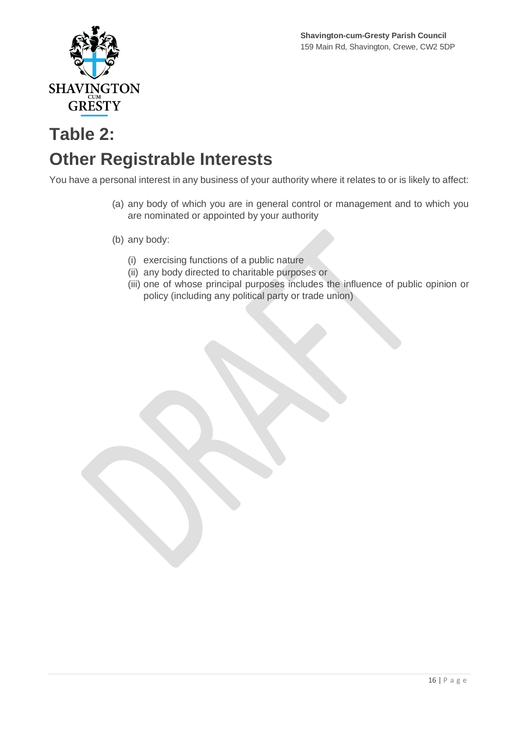

<span id="page-15-0"></span>**Table 2:**

# <span id="page-15-1"></span>**Other Registrable Interests**

You have a personal interest in any business of your authority where it relates to or is likely to affect:

- (a) any body of which you are in general control or management and to which you are nominated or appointed by your authority
- (b) any body:
	- (i) exercising functions of a public nature
	- (ii) any body directed to charitable purposes or
	- (iii) one of whose principal purposes includes the influence of public opinion or policy (including any political party or trade union)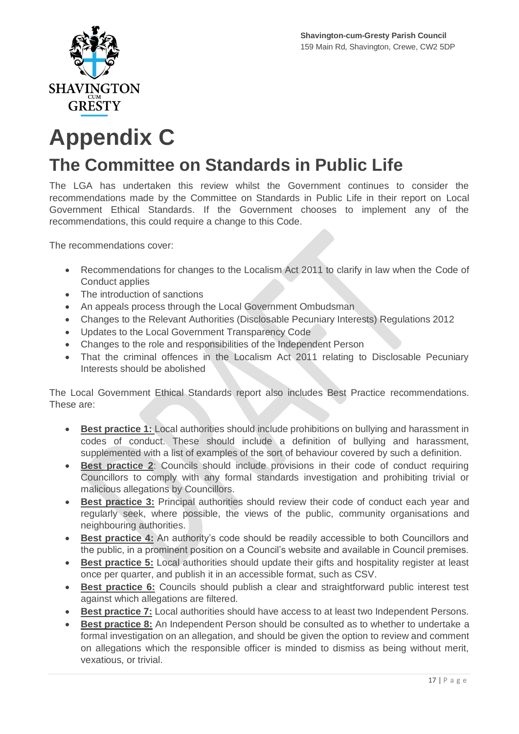

# <span id="page-16-0"></span>**Appendix C**

# <span id="page-16-1"></span>**The Committee on Standards in Public Life**

The LGA has undertaken this review whilst the Government continues to consider the recommendations made by the Committee on Standards in Public Life in their report on [Local](https://www.gov.uk/government/publications/local-government-ethical-standards-report)  [Government Ethical Standards.](https://www.gov.uk/government/publications/local-government-ethical-standards-report) If the Government chooses to implement any of the recommendations, this could require a change to this Code.

The recommendations cover:

- Recommendations for changes to the Localism Act 2011 to clarify in law when the Code of Conduct applies
- The introduction of sanctions
- An appeals process through the Local Government Ombudsman
- Changes to the Relevant Authorities (Disclosable Pecuniary Interests) Regulations 2012
- Updates to the Local Government Transparency Code
- Changes to the role and responsibilities of the Independent Person
- That the criminal offences in the Localism Act 2011 relating to Disclosable Pecuniary Interests should be abolished

The Local Government Ethical Standards report also includes Best Practice recommendations. These are:

- **Best practice 1:** Local authorities should include prohibitions on bullying and harassment in codes of conduct. These should include a definition of bullying and harassment, supplemented with a list of examples of the sort of behaviour covered by such a definition.
- **Best practice 2**: Councils should include provisions in their code of conduct requiring Councillors to comply with any formal standards investigation and prohibiting trivial or malicious allegations by Councillors.
- **Best practice 3:** Principal authorities should review their code of conduct each year and regularly seek, where possible, the views of the public, community organisations and neighbouring authorities.
- **Best practice 4:** An authority's code should be readily accessible to both Councillors and the public, in a prominent position on a Council's website and available in Council premises.
- **Best practice 5:** Local authorities should update their gifts and hospitality register at least once per quarter, and publish it in an accessible format, such as CSV.
- **Best practice 6:** Councils should publish a clear and straightforward public interest test against which allegations are filtered.
- **Best practice 7:** Local authorities should have access to at least two Independent Persons.
- **Best practice 8:** An Independent Person should be consulted as to whether to undertake a formal investigation on an allegation, and should be given the option to review and comment on allegations which the responsible officer is minded to dismiss as being without merit, vexatious, or trivial.